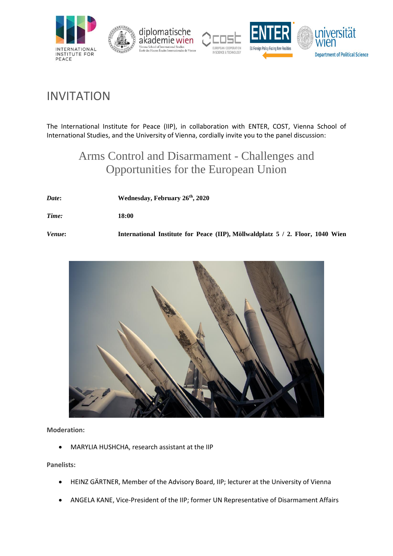

# INVITATION

The International Institute for Peace (IIP), in collaboration with ENTER, COST, Vienna School of International Studies, and the University of Vienna, cordially invite you to the panel discussion:

# Arms Control and Disarmament - Challenges and Opportunities for the European Union

| Date:  | Wednesday, February 26th, 2020                                                 |
|--------|--------------------------------------------------------------------------------|
| Time:  | 18:00                                                                          |
| Venue: | International Institute for Peace (IIP), Möllwaldplatz 5 / 2. Floor, 1040 Wien |



**Moderation:** 

• MARYLIA HUSHCHA, research assistant at the IIP

**Panelists:**

- HEINZ GÄRTNER, Member of the Advisory Board, IIP; lecturer at the University of Vienna
- ANGELA KANE, Vice-President of the IIP; former UN Representative of Disarmament Affairs